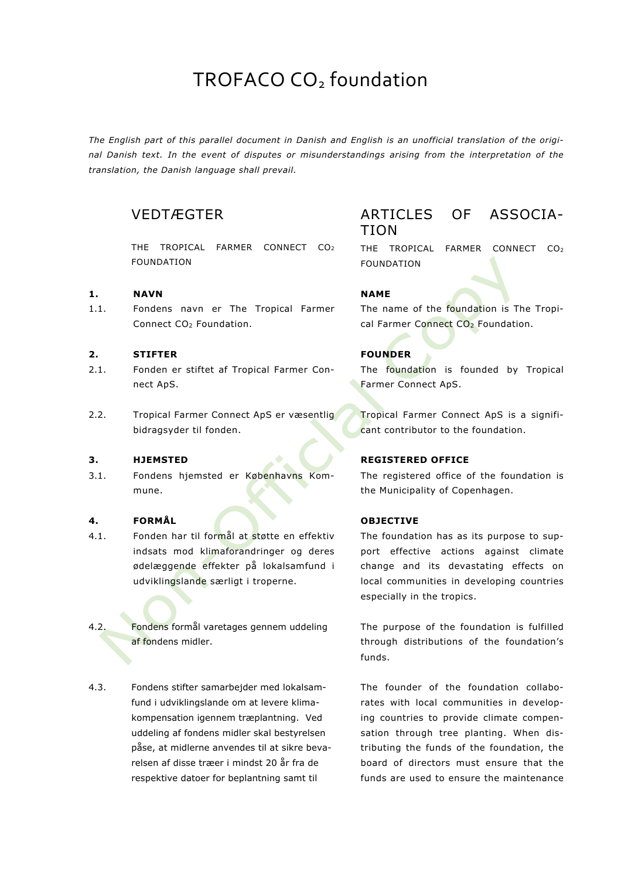# TROFACO CO<sub>2</sub> foundation

*The English part of this parallel document in Danish and English is an unofficial translation of the original Danish text. In the event of disputes or misunderstandings arising from the interpretation of the translation, the Danish language shall prevail.*

# VEDTÆGTER

THE TROPICAL FARMER CONNECT CO2 FOUNDATION

### **1. NAVN NAME**

1.1. Fondens navn er The Tropical Farmer Connect CO2 Foundation.

### **2. STIFTER FOUNDER**

- 2.1. Fonden er stiftet af Tropical Farmer Connect ApS.
- 2.2. Tropical Farmer Connect ApS er væsentlig bidragsyder til fonden.

3.1. Fondens hjemsted er Københavns Kommune.

### **4. FORMÅL OBJECTIVE**

- 4.1. Fonden har til formål at støtte en effektiv indsats mod klimaforandringer og deres ødelæggende effekter på lokalsamfund i udviklingslande særligt i troperne.
- 4.2. Fondens formål varetages gennem uddeling af fondens midler.
- 4.3. Fondens stifter samarbejder med lokalsamfund i udviklingslande om at levere klimakompensation igennem træplantning. Ved uddeling af fondens midler skal bestyrelsen påse, at midlerne anvendes til at sikre bevarelsen af disse træer i mindst 20 år fra de respektive datoer for beplantning samt til

# ARTICLES OF ASSOCIA-TION

THE TROPICAL FARMER CONNECT CO2 FOUNDATION

The name of the foundation is The Tropical Farmer Connect CO<sub>2</sub> Foundation.

The foundation is founded by Tropical Farmer Connect ApS.

Tropical Farmer Connect ApS is a significant contributor to the foundation.

### **3. HJEMSTED REGISTERED OFFICE**

The registered office of the foundation is the Municipality of Copenhagen.

The foundation has as its purpose to support effective actions against climate change and its devastating effects on local communities in developing countries especially in the tropics.

The purpose of the foundation is fulfilled through distributions of the foundation's funds.

The founder of the foundation collaborates with local communities in developing countries to provide climate compensation through tree planting. When distributing the funds of the foundation, the board of directors must ensure that the funds are used to ensure the maintenance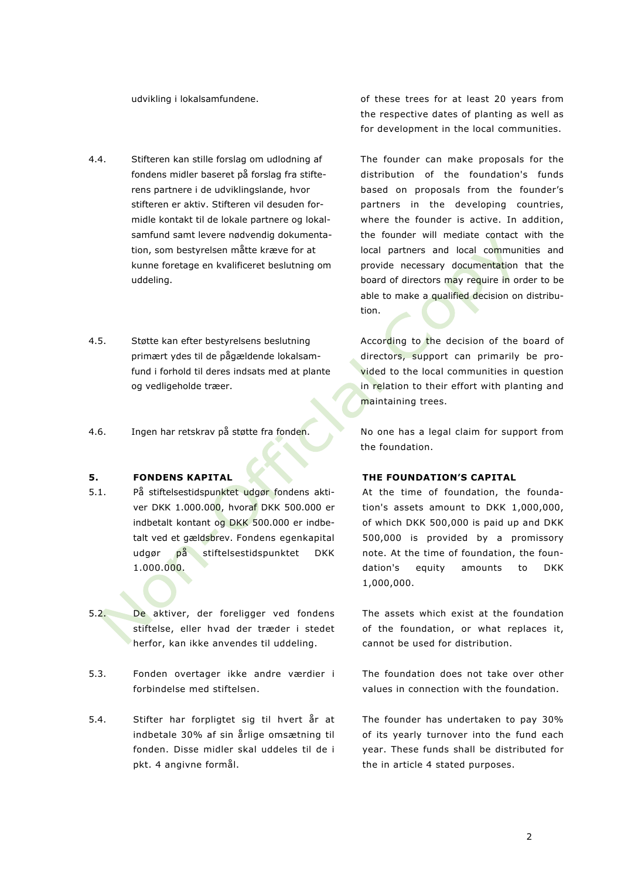- 4.4. Stifteren kan stille forslag om udlodning af fondens midler baseret på forslag fra stifterens partnere i de udviklingslande, hvor stifteren er aktiv. Stifteren vil desuden formidle kontakt til de lokale partnere og lokalsamfund samt levere nødvendig dokumentation, som bestyrelsen måtte kræve for at kunne foretage en kvalificeret beslutning om uddeling.
- 4.5. Støtte kan efter bestyrelsens beslutning primært ydes til de pågældende lokalsamfund i forhold til deres indsats med at plante og vedligeholde træer.
- 4.6. Ingen har retskrav på støtte fra fonden. No one has a legal claim for support from

- 5.1. På stiftelsestidspunktet udgør fondens aktiver DKK 1.000.000, hvoraf DKK 500.000 er indbetalt kontant og DKK 500.000 er indbetalt ved et gældsbrev. Fondens egenkapital udgør på stiftelsestidspunktet DKK 1.000.000.
- 5.2. De aktiver, der foreligger ved fondens stiftelse, eller hvad der træder i stedet herfor, kan ikke anvendes til uddeling.
- 5.3. Fonden overtager ikke andre værdier i forbindelse med stiftelsen.
- 5.4. Stifter har forpligtet sig til hvert år at indbetale 30% af sin årlige omsætning til fonden. Disse midler skal uddeles til de i pkt. 4 angivne formål.

udvikling i lokalsamfundene.  $\qquad \qquad$  of these trees for at least 20 years from the respective dates of planting as well as for development in the local communities.

> The founder can make proposals for the distribution of the foundation's funds based on proposals from the founder's partners in the developing countries, where the founder is active. In addition, the founder will mediate contact with the local partners and local communities and provide necessary documentation that the board of directors may require in order to be able to make a qualified decision on distribution.

> According to the decision of the board of directors, support can primarily be provided to the local communities in question in relation to their effort with planting and maintaining trees.

> the foundation.

### **5. FONDENS KAPITAL THE FOUNDATION'S CAPITAL**

At the time of foundation, the foundation's assets amount to DKK 1,000,000, of which DKK 500,000 is paid up and DKK 500,000 is provided by a promissory note. At the time of foundation, the foundation's equity amounts to DKK 1,000,000.

The assets which exist at the foundation of the foundation, or what replaces it, cannot be used for distribution.

The foundation does not take over other values in connection with the foundation.

The founder has undertaken to pay 30% of its yearly turnover into the fund each year. These funds shall be distributed for the in article 4 stated purposes.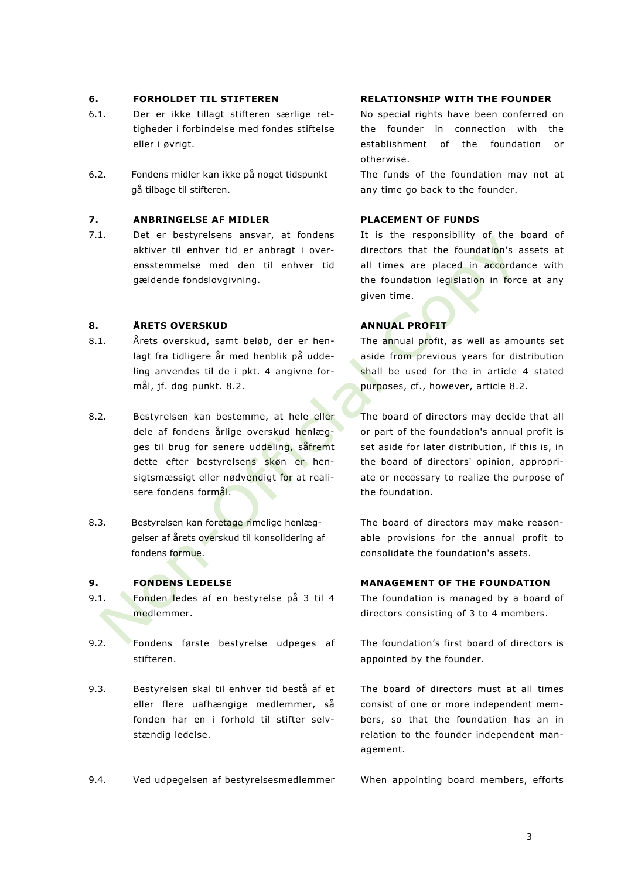- 6.1. Der er ikke tillagt stifteren særlige rettigheder i forbindelse med fondes stiftelse eller i øvrigt.
- 6.2. Fondens midler kan ikke på noget tidspunkt gå tilbage til stifteren.

### **7. ANBRINGELSE AF MIDLER PLACEMENT OF FUNDS**

7.1. Det er bestyrelsens ansvar, at fondens aktiver til enhver tid er anbragt i overensstemmelse med den til enhver tid gældende fondslovgivning.

### **8. ÅRETS OVERSKUD ANNUAL PROFIT**

- 8.1. Årets overskud, samt beløb, der er henlagt fra tidligere år med henblik på uddeling anvendes til de i pkt. 4 angivne formål, jf. dog punkt. 8.2.
- 8.2. Bestyrelsen kan bestemme, at hele eller dele af fondens årlige overskud henlægges til brug for senere uddeling, såfremt dette efter bestyrelsens skøn er hensigtsmæssigt eller nødvendigt for at realisere fondens formål.
- 8.3. Bestyrelsen kan foretage rimelige henlæggelser af årets overskud til konsolidering af fondens formue.

- 9.1. Fonden ledes af en bestyrelse på 3 til 4 medlemmer.
- 9.2. Fondens første bestyrelse udpeges af stifteren.
- 9.3. Bestyrelsen skal til enhver tid bestå af et eller flere uafhængige medlemmer, så fonden har en i forhold til stifter selvstændig ledelse.

### 9.4. Ved udpegelsen af bestyrelsesmedlemmer When appointing board members, efforts

### **6. FORHOLDET TIL STIFTEREN RELATIONSHIP WITH THE FOUNDER**

No special rights have been conferred on the founder in connection with the establishment of the foundation or otherwise.

The funds of the foundation may not at any time go back to the founder.

It is the responsibility of the board of directors that the foundation's assets at all times are placed in accordance with the foundation legislation in force at any given time.

The annual profit, as well as amounts set aside from previous years for distribution shall be used for the in article 4 stated purposes, cf., however, article 8.2.

The board of directors may decide that all or part of the foundation's annual profit is set aside for later distribution, if this is, in the board of directors' opinion, appropriate or necessary to realize the purpose of the foundation.

The board of directors may make reasonable provisions for the annual profit to consolidate the foundation's assets.

### **9. FONDENS LEDELSE MANAGEMENT OF THE FOUNDATION**

The foundation is managed by a board of directors consisting of 3 to 4 members.

The foundation's first board of directors is appointed by the founder.

The board of directors must at all times consist of one or more independent members, so that the foundation has an in relation to the founder independent management.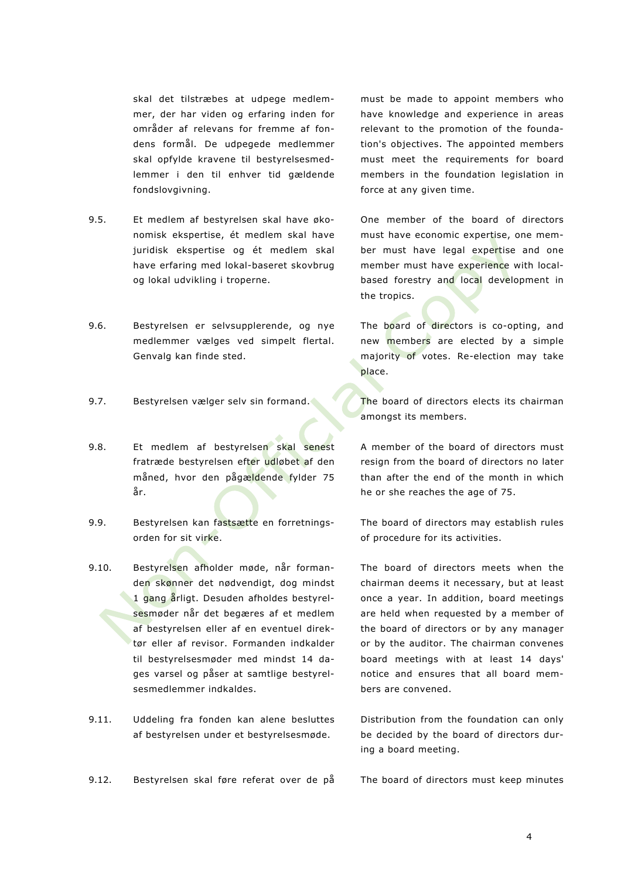skal det tilstræbes at udpege medlemmer, der har viden og erfaring inden for områder af relevans for fremme af fondens formål. De udpegede medlemmer skal opfylde kravene til bestyrelsesmedlemmer i den til enhver tid gældende fondslovgivning.

- 9.5. Et medlem af bestyrelsen skal have økonomisk ekspertise, ét medlem skal have juridisk ekspertise og ét medlem skal have erfaring med lokal-baseret skovbrug og lokal udvikling i troperne.
- 9.6. Bestyrelsen er selvsupplerende, og nye medlemmer vælges ved simpelt flertal. Genvalg kan finde sted.
- 
- 9.8. Et medlem af bestyrelsen skal senest fratræde bestyrelsen efter udløbet af den måned, hvor den pågældende fylder 75 år.
- 9.9. Bestyrelsen kan fastsætte en forretningsorden for sit virke.
- 9.10. Bestyrelsen afholder møde, når formanden skønner det nødvendigt, dog mindst 1 gang årligt. Desuden afholdes bestyrelsesmøder når det begæres af et medlem af bestyrelsen eller af en eventuel direktør eller af revisor. Formanden indkalder til bestyrelsesmøder med mindst 14 dages varsel og påser at samtlige bestyrelsesmedlemmer indkaldes.
- 9.11. Uddeling fra fonden kan alene besluttes af bestyrelsen under et bestyrelsesmøde.

9.12. Bestyrelsen skal føre referat over de på The board of directors must keep minutes

must be made to appoint members who have knowledge and experience in areas relevant to the promotion of the foundation's objectives. The appointed members must meet the requirements for board members in the foundation legislation in force at any given time.

One member of the board of directors must have economic expertise, one member must have legal expertise and one member must have experience with localbased forestry and local development in the tropics.

The board of directors is co-opting, and new members are elected by a simple majority of votes. Re-election may take place.

9.7. Bestyrelsen vælger selv sin formand. The board of directors elects its chairman amongst its members.

> A member of the board of directors must resign from the board of directors no later than after the end of the month in which he or she reaches the age of 75.

> The board of directors may establish rules of procedure for its activities.

> The board of directors meets when the chairman deems it necessary, but at least once a year. In addition, board meetings are held when requested by a member of the board of directors or by any manager or by the auditor. The chairman convenes board meetings with at least 14 days' notice and ensures that all board members are convened.

> Distribution from the foundation can only be decided by the board of directors during a board meeting.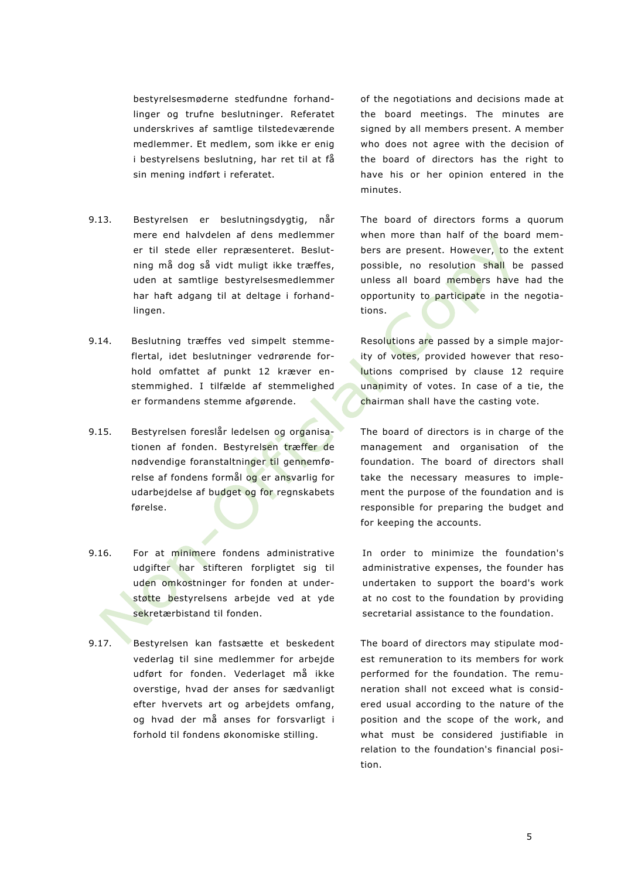bestyrelsesmøderne stedfundne forhandlinger og trufne beslutninger. Referatet underskrives af samtlige tilstedeværende medlemmer. Et medlem, som ikke er enig i bestyrelsens beslutning, har ret til at få sin mening indført i referatet.

- 9.13. Bestyrelsen er beslutningsdygtig, når mere end halvdelen af dens medlemmer er til stede eller repræsenteret. Beslutning må dog så vidt muligt ikke træffes, uden at samtlige bestyrelsesmedlemmer har haft adgang til at deltage i forhandlingen.
- 9.14. Beslutning træffes ved simpelt stemmeflertal, idet beslutninger vedrørende forhold omfattet af punkt 12 kræver enstemmighed. I tilfælde af stemmelighed er formandens stemme afgørende.
- 9.15. Bestyrelsen foreslår ledelsen og organisationen af fonden. Bestyrelsen træffer de nødvendige foranstaltninger til gennemførelse af fondens formål og er ansvarlig for udarbejdelse af budget og for regnskabets førelse.
- 9.16. For at minimere fondens administrative udgifter har stifteren forpligtet sig til uden omkostninger for fonden at understøtte bestyrelsens arbejde ved at yde sekretærbistand til fonden.
- 9.17. Bestyrelsen kan fastsætte et beskedent vederlag til sine medlemmer for arbejde udført for fonden. Vederlaget må ikke overstige, hvad der anses for sædvanligt efter hvervets art og arbejdets omfang, og hvad der må anses for forsvarligt i forhold til fondens økonomiske stilling.

of the negotiations and decisions made at the board meetings. The minutes are signed by all members present. A member who does not agree with the decision of the board of directors has the right to have his or her opinion entered in the minutes.

The board of directors forms a quorum when more than half of the board members are present. However, to the extent possible, no resolution shall be passed unless all board members have had the opportunity to participate in the negotiations.

Resolutions are passed by a simple majority of votes, provided however that resolutions comprised by clause 12 require unanimity of votes. In case of a tie, the chairman shall have the casting vote.

The board of directors is in charge of the management and organisation of the foundation. The board of directors shall take the necessary measures to implement the purpose of the foundation and is responsible for preparing the budget and for keeping the accounts.

In order to minimize the foundation's administrative expenses, the founder has undertaken to support the board's work at no cost to the foundation by providing secretarial assistance to the foundation.

The board of directors may stipulate modest remuneration to its members for work performed for the foundation. The remuneration shall not exceed what is considered usual according to the nature of the position and the scope of the work, and what must be considered justifiable in relation to the foundation's financial position.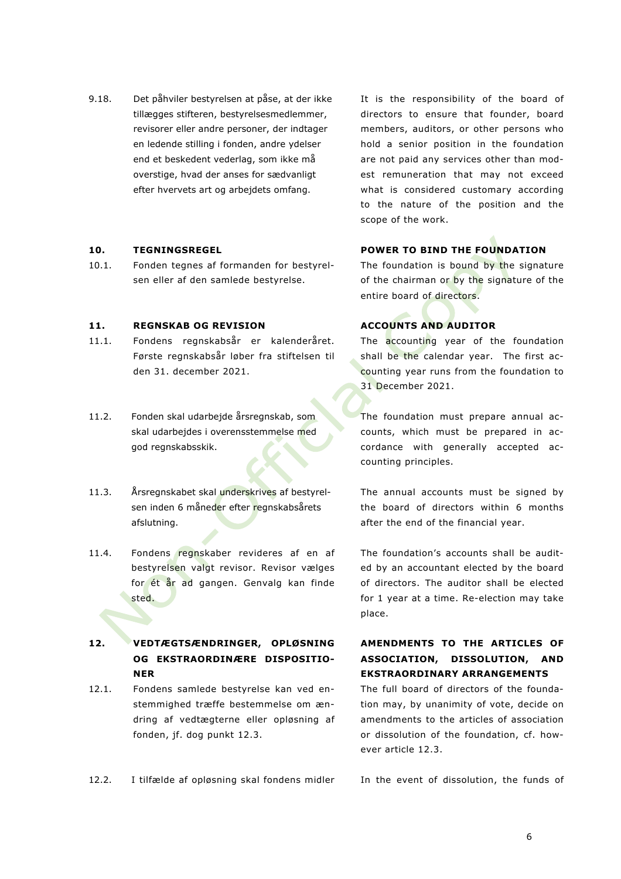9.18. Det påhviler bestyrelsen at påse, at der ikke tillægges stifteren, bestyrelsesmedlemmer, revisorer eller andre personer, der indtager en ledende stilling i fonden, andre ydelser end et beskedent vederlag, som ikke må overstige, hvad der anses for sædvanligt efter hvervets art og arbejdets omfang.

10.1. Fonden tegnes af formanden for bestyrelsen eller af den samlede bestyrelse.

### **11. REGNSKAB OG REVISION ACCOUNTS AND AUDITOR**

- 11.1. Fondens regnskabsår er kalenderåret. Første regnskabsår løber fra stiftelsen til den 31. december 2021.
- 11.2. Fonden skal udarbejde årsregnskab, som skal udarbejdes i overensstemmelse med god regnskabsskik.
- 11.3. Årsregnskabet skal underskrives af bestyrelsen inden 6 måneder efter regnskabsårets afslutning.
- 11.4. Fondens regnskaber revideres af en af bestyrelsen valgt revisor. Revisor vælges for ét år ad gangen. Genvalg kan finde sted.

## **12. VEDTÆGTSÆNDRINGER, OPLØSNING OG EKSTRAORDINÆRE DISPOSITIO-NER**

12.1. Fondens samlede bestyrelse kan ved enstemmighed træffe bestemmelse om ændring af vedtægterne eller opløsning af fonden, jf. dog punkt 12.3.

12.2. I tilfælde af opløsning skal fondens midler In the event of dissolution, the funds of

It is the responsibility of the board of directors to ensure that founder, board members, auditors, or other persons who hold a senior position in the foundation are not paid any services other than modest remuneration that may not exceed what is considered customary according to the nature of the position and the scope of the work.

### **10. TEGNINGSREGEL POWER TO BIND THE FOUNDATION**

The foundation is bound by the signature of the chairman or by the signature of the entire board of directors.

The **accounting** year of the foundation shall be the calendar year. The first accounting year runs from the foundation to 31 December 2021.

The foundation must prepare annual accounts, which must be prepared in accordance with generally accepted accounting principles.

The annual accounts must be signed by the board of directors within 6 months after the end of the financial year.

The foundation's accounts shall be audited by an accountant elected by the board of directors. The auditor shall be elected for 1 year at a time. Re-election may take place.

# **AMENDMENTS TO THE ARTICLES OF ASSOCIATION, DISSOLUTION, AND EKSTRAORDINARY ARRANGEMENTS**

The full board of directors of the foundation may, by unanimity of vote, decide on amendments to the articles of association or dissolution of the foundation, cf. however article 12.3.